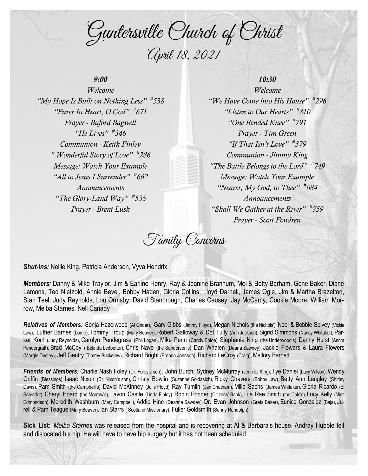Guntersville Church of Christ April 18, 2021

# *9:00*

*Welcome "My Hope Is Built on Nothing Less" # 538 "Purer In Heart, O God" # 671 Prayer - Buford Bagwell "He Lives" # 346 Communion - Keith Finley " Wonderful Story of Love" # 286 Message: Watch Your Example "All to Jesus I Surrender" # 662 Announcements "The Glory-Land Way" # 535 Prayer - Brent Lusk*

## *10:30*

*Welcome "We Have Come into His House" # 296 "Listen to Our Hearts" # 810 "One Bended Knee" # 791 Prayer - Tim Green "If That Isn't Love" # 379 Communion - Jimmy King "The Battle Belongs to the Lord" # 749 Message: Watch Your Example "Nearer, My God, to Thee" # 684 Announcements "Shall We Gather at the River" # 759 Prayer - Scott Fondren*

Family Concerns

*Shut-ins:* Nellie King, Patricia Anderson, Vyva Hendrix

*Members:* Danny & Mike Traylor, Jim & Earline Henry, Ray & Jeanine Brannum, Mel & Betty Barham, Gene Baker, Diane Lamons, Ted Nietzold, Annie Bevel, Bobby Haden, Gloria Collins, Lloyd Darnell, James Ogle, Jim & Martha Brazelton, Stan Teel, Judy Reynolds, Lou Ormsby, David Stanbrough, Charles Causey, Jay McCamy, Cookie Moore, William Morrow, Melba Starnes, Nell Canady

*Relatives of Members:* Sonja Hazelwood (Al Grider), Gary Gibbs (Jimmy Floyd), Megan Nichols (the Nichols'), Noel & Bobbie Spivey (Vickie Law), Luther Barnes (Lorne), Tommy Troup (Mary Beaver), Robert Galloway & Dot Tully (Ann Jackson), Sigrid Simmons (Nancy Whitaker), Parker Koch (Judy Reynolds), Carolyn Pendegrass (Phil Logan), Mike Penn (Candy Enloe), Stephanie King (the Underwood's), Danny Hurst (Andra Pendergraft), Brad McCoy ( Belinda Ledbetter), Chris Nave (the Sanderson's), Dan Whalen (Deana Sawdey), Jackie Flowers & Laura Flowers (Margie Dudley), Jeff Gentry (Timmy Buckelew), Richard Bright (Brenda Johnson), Richard LeCroy (Craig), Mallory Barnett

*Friends of Members:* Charlie Nash Foley (Dr. Foley's son), John Burch; Sydney McMurray (Jennifer King), Tye Daniel (Lucy Wilson), Wendy Griffin (Blessings), Isaac Nixon (Dr. Nixon's son), Christy Bowlin (Suzanne Goldasich), Ricky Chavers (Bobby Law), Betty Ann Langley (Shirley Davis), Pam Smith (the Campbell's), David McKinney (Julie Floyd), Ray Tumlin (Jan Chatham), Milla Sachs (James Whitaker), Gloria Ricardo (El Salvador), Cheryl Hoard (the Morrow's), Lavon Castle (Linda Finley), Robin Ponder (Citizens' Bank), Lila Rae Smith (the Cole's), Lucy Kelly (Misti Edmondson), Meredith Washburn (Mary Campbell), Addie Hine (Deanna Sawdey), Dr. Evan Johnson (Greta Baker), Eunice Gonzalez (Baja), Jurell & Pam Teague (Mary Beaver), Ian Starrs ( Scotland Missionary), Fuller Goldsmith (Sunny Randolph)

**Sick List:** *Melba Starnes* was released from the hospital and is recovering at Al & Barbara's house. Andray Hubble fell and dislocated his hip. He will have to have hip surgery but it has not been scheduled.